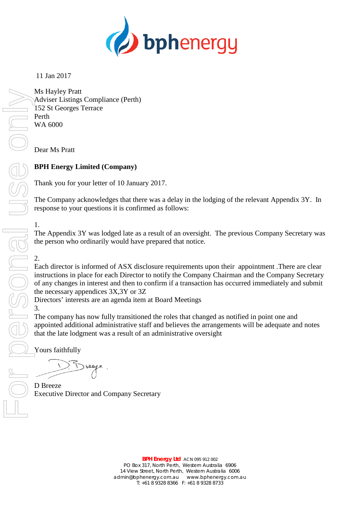

# 11 Jan 2017

Ms Hayley Pratt Adviser Listings Compliance (Perth) 152 St Georges Terrace Perth WA 6000

Dear Ms Pratt

## **BPH Energy Limited (Company)**

Thank you for your letter of 10 January 2017.

The Company acknowledges that there was a delay in the lodging of the relevant Appendix 3Y. In response to your questions it is confirmed as follows:

1.

The Appendix 3Y was lodged late as a result of an oversight. The previous Company Secretary was the person who ordinarily would have prepared that notice.

## 2.

Each director is informed of ASX disclosure requirements upon their appointment .There are clear instructions in place for each Director to notify the Company Chairman and the Company Secretary of any changes in interest and then to confirm if a transaction has occurred immediately and submit the necessary appendices 3X,3Y or 3Z

Directors' interests are an agenda item at Board Meetings

3.

The company has now fully transitioned the roles that changed as notified in point one and appointed additional administrative staff and believes the arrangements will be adequate and notes that the late lodgment was a result of an administrative oversight

Yours faithfully

D Breeze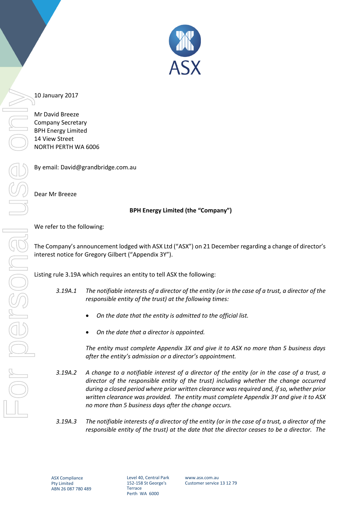

#### 10 January 2017

Mr David Breeze Company Secretary BPH Energy Limited 14 View Street NORTH PERTH WA 6006

By email: David@grandbridge.com.au

Dear Mr Breeze

## **BPH Energy Limited (the "Company")**

#### We refer to the following:

The Company's announcement lodged with ASX Ltd ("ASX") on 21 December regarding a change of director's interest notice for Gregory Gilbert ("Appendix 3Y").

Listing rule 3.19A which requires an entity to tell ASX the following:

- *3.19A.1 The notifiable interests of a director of the entity (or in the case of a trust, a director of the responsible entity of the trust) at the following times:*
	- *On the date that the entity is admitted to the official list.*
	- *On the date that a director is appointed.*

*The entity must complete Appendix 3X and give it to ASX no more than 5 business days after the entity's admission or a director's appointment.* 

- *3.19A.2 A change to a notifiable interest of a director of the entity (or in the case of a trust, a director of the responsible entity of the trust) including whether the change occurred during a closed period where prior written clearance was required and, if so, whether prior written clearance was provided. The entity must complete Appendix 3Y and give it to ASX no more than 5 business days after the change occurs.*
- *3.19A.3 The notifiable interests of a director of the entity (or in the case of a trust, a director of the responsible entity of the trust) at the date that the director ceases to be a director. The*

Level 40, Central Park 152-158 St George's **Terrace** Perth WA 6000

www.asx.com.au Customer service 13 12 79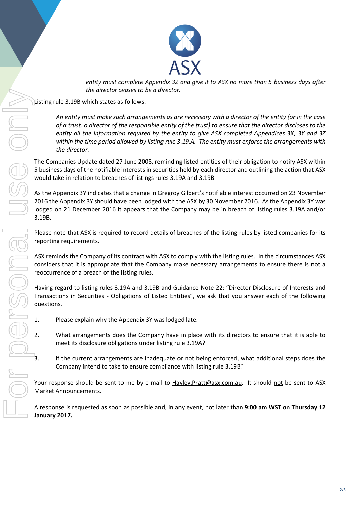

*entity must complete Appendix 3Z and give it to ASX no more than 5 business days after the director ceases to be a director.*

Listing rule 3.19B which states as follows.

*An entity must make such arrangements as are necessary with a director of the entity (or in the case of a trust, a director of the responsible entity of the trust) to ensure that the director discloses to the entity all the information required by the entity to give ASX completed Appendices 3X, 3Y and 3Z within the time period allowed by listing rule 3.19.A. The entity must enforce the arrangements with the director.* Sixting rule 3.1994 which states are not direct consistent and any event of the ends of any event of the ends of any event of the ends of the transfer of the ends of the transfer only and model and any of the transfer only

The Companies Update dated 27 June 2008, reminding listed entities of their obligation to notify ASX within 5 business days of the notifiable interests in securities held by each director and outlining the action that ASX would take in relation to breaches of listings rules 3.19A and 3.19B.

As the Appendix 3Y indicates that a change in Gregroy Gilbert's notifiable interest occurred on 23 November 2016 the Appendix 3Y should have been lodged with the ASX by 30 November 2016. As the Appendix 3Y was lodged on 21 December 2016 it appears that the Company may be in breach of listing rules 3.19A and/or 3.19B.

Please note that ASX is required to record details of breaches of the listing rules by listed companies for its reporting requirements.

ASX reminds the Company of its contract with ASX to comply with the listing rules. In the circumstances ASX considers that it is appropriate that the Company make necessary arrangements to ensure there is not a reoccurrence of a breach of the listing rules.

Having regard to listing rules 3.19A and 3.19B and Guidance Note 22: "Director Disclosure of Interests and Transactions in Securities - Obligations of Listed Entities", we ask that you answer each of the following questions.

- 1. Please explain why the Appendix 3Y was lodged late.
- 2. What arrangements does the Company have in place with its directors to ensure that it is able to meet its disclosure obligations under listing rule 3.19A?
	- If the current arrangements are inadequate or not being enforced, what additional steps does the Company intend to take to ensure compliance with listing rule 3.19B?

Your response should be sent to me by e-mail to Hayley.Pratt@asx.com.au. It should not be sent to ASX Market Announcements.